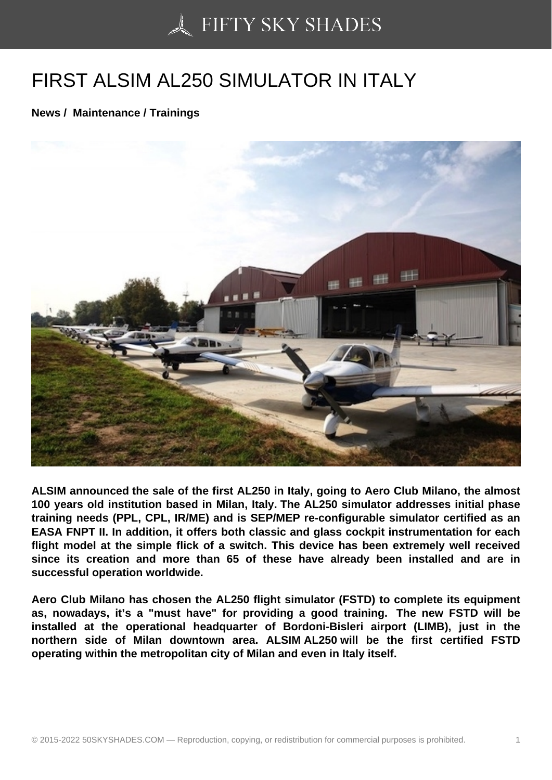## [FIRST ALSIM AL250 S](https://50skyshades.com)IMULATOR IN ITALY

News / Maintenance / Trainings

ALSIM announced the sale of the first AL250 in Italy, going to Aero Club Milano, the almost 100 years old institution based in Milan, Italy. The AL250 simulator addresses initial phase training needs (PPL, CPL, IR/ME) and is SEP/MEP re-configurable simulator certified as an EASA FNPT II. In addition, it offers both classic and glass cockpit instrumentation for each flight model at the simple flick of a switch. This device has been extremely well received since its creation and more than 65 of these have already been installed and are in successful operation worldwide.

Aero Club Milano has chosen the AL250 flight simulator (FSTD) to complete its equipment as, nowadays, it's a "must have" for providing a good training. The new FSTD will be installed at the operational headquarter of Bordoni-Bisleri airport (LIMB), just in the northern side of Milan downtown area. ALSIM AL250 will be the first certified FSTD operating within the metropolitan city of Milan and even in Italy itself.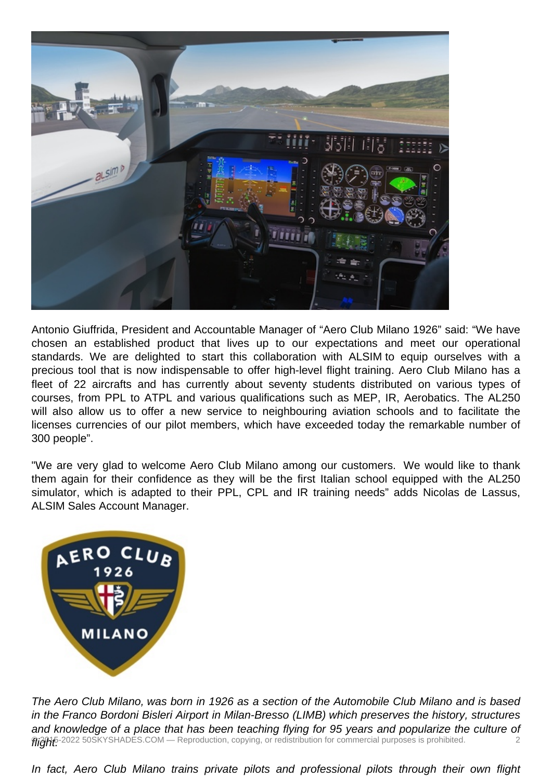

Antonio Giuffrida, President and Accountable Manager of "Aero Club Milano 1926" said: "We have chosen an established product that lives up to our expectations and meet our operational standards. We are delighted to start this collaboration with ALSIM to equip ourselves with a precious tool that is now indispensable to offer high-level flight training. Aero Club Milano has a fleet of 22 aircrafts and has currently about seventy students distributed on various types of courses, from PPL to ATPL and various qualifications such as MEP, IR, Aerobatics. The AL250 will also allow us to offer a new service to neighbouring aviation schools and to facilitate the licenses currencies of our pilot members, which have exceeded today the remarkable number of 300 people".

"We are very glad to welcome Aero Club Milano among our customers. We would like to thank them again for their confidence as they will be the first Italian school equipped with the AL250 simulator, which is adapted to their PPL, CPL and IR training needs" adds Nicolas de Lassus, ALSIM Sales Account Manager.



The Aero Club Milano, was born in 1926 as a section of the Automobile Club Milano and is based in the Franco Bordoni Bisleri Airport in Milan-Bresso (LIMB) which preserves the history, structures and knowledge of a place that has been teaching flying for 95 years and popularize the culture of **MigHE**-2022 50SKYSHADES.COM — Reproduction, copying, or redistribution for commercial purposes is prohibited.  $\qquad \qquad \qquad 2$ 

In fact, Aero Club Milano trains private pilots and professional pilots through their own flight